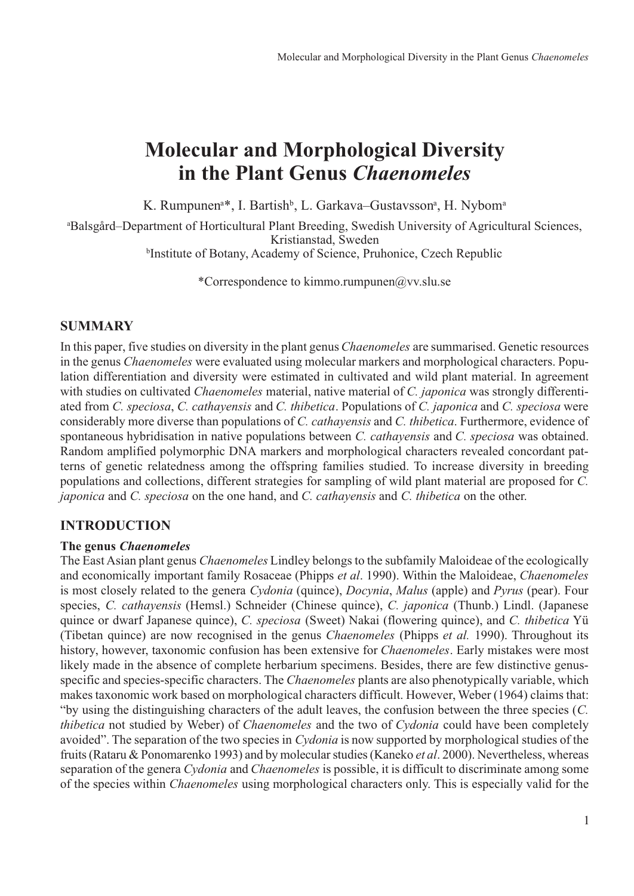# **Molecular and Morphological Diversity in the Plant Genus** *Chaenomeles*

K. Rumpunen<sup>a\*</sup>, I. Bartish<sup>b</sup>, L. Garkava–Gustavsson<sup>a</sup>, H. Nybom<sup>a</sup>

a Balsgård–Department of Horticultural Plant Breeding, Swedish University of Agricultural Sciences, Kristianstad, Sweden

b Institute of Botany, Academy of Science, Pruhonice, Czech Republic

\*Correspondence to kimmo.rumpunen@vv.slu.se

# **SUMMARY**

In this paper, five studies on diversity in the plant genus *Chaenomeles* are summarised. Genetic resources in the genus *Chaenomeles* were evaluated using molecular markers and morphological characters. Population differentiation and diversity were estimated in cultivated and wild plant material. In agreement with studies on cultivated *Chaenomeles* material, native material of *C. japonica* was strongly differentiated from *C. speciosa*, *C. cathayensis* and *C. thibetica*. Populations of *C. japonica* and *C. speciosa* were considerably more diverse than populations of *C. cathayensis* and *C. thibetica*. Furthermore, evidence of spontaneous hybridisation in native populations between *C. cathayensis* and *C. speciosa* was obtained. Random amplified polymorphic DNA markers and morphological characters revealed concordant patterns of genetic relatedness among the offspring families studied. To increase diversity in breeding populations and collections, different strategies for sampling of wild plant material are proposed for *C. japonica* and *C. speciosa* on the one hand, and *C. cathayensis* and *C. thibetica* on the other.

# **INTRODUCTION**

## **The genus** *Chaenomeles*

The East Asian plant genus *Chaenomeles* Lindley belongs to the subfamily Maloideae of the ecologically and economically important family Rosaceae (Phipps *et al*. 1990). Within the Maloideae, *Chaenomeles* is most closely related to the genera *Cydonia* (quince), *Docynia*, *Malus* (apple) and *Pyrus* (pear). Four species, *C. cathayensis* (Hemsl.) Schneider (Chinese quince), *C. japonica* (Thunb.) Lindl. (Japanese quince or dwarf Japanese quince), *C. speciosa* (Sweet) Nakai (flowering quince), and *C. thibetica* Yü (Tibetan quince) are now recognised in the genus *Chaenomeles* (Phipps *et al.* 1990). Throughout its history, however, taxonomic confusion has been extensive for *Chaenomeles*. Early mistakes were most likely made in the absence of complete herbarium specimens. Besides, there are few distinctive genusspecific and species-specific characters. The *Chaenomeles* plants are also phenotypically variable, which makes taxonomic work based on morphological characters difficult. However, Weber (1964) claims that: "by using the distinguishing characters of the adult leaves, the confusion between the three species (*C. thibetica* not studied by Weber) of *Chaenomeles* and the two of *Cydonia* could have been completely avoided". The separation of the two species in *Cydonia* is now supported by morphological studies of the fruits (Rataru & Ponomarenko 1993) and by molecular studies (Kaneko *et al*. 2000). Nevertheless, whereas separation of the genera *Cydonia* and *Chaenomeles* is possible, it is difficult to discriminate among some of the species within *Chaenomeles* using morphological characters only. This is especially valid for the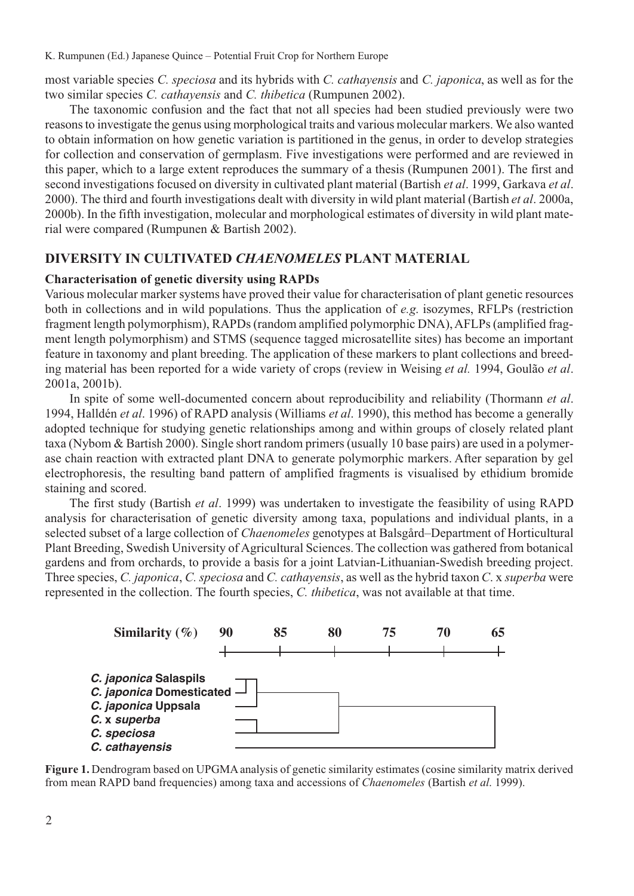most variable species *C. speciosa* and its hybrids with *C. cathayensis* and *C. japonica*, as well as for the two similar species *C. cathayensis* and *C. thibetica* (Rumpunen 2002).

The taxonomic confusion and the fact that not all species had been studied previously were two reasons to investigate the genus using morphological traits and various molecular markers. We also wanted to obtain information on how genetic variation is partitioned in the genus, in order to develop strategies for collection and conservation of germplasm. Five investigations were performed and are reviewed in this paper, which to a large extent reproduces the summary of a thesis (Rumpunen 2001). The first and second investigations focused on diversity in cultivated plant material (Bartish *et al*. 1999, Garkava *et al*. 2000). The third and fourth investigations dealt with diversity in wild plant material (Bartish *et al*. 2000a, 2000b). In the fifth investigation, molecular and morphological estimates of diversity in wild plant material were compared (Rumpunen & Bartish 2002).

## **DIVERSITY IN CULTIVATED** *CHAENOMELES* **PLANT MATERIAL**

#### **Characterisation of genetic diversity using RAPDs**

Various molecular marker systems have proved their value for characterisation of plant genetic resources both in collections and in wild populations. Thus the application of *e.g*. isozymes, RFLPs (restriction fragment length polymorphism), RAPDs (random amplified polymorphic DNA), AFLPs (amplified fragment length polymorphism) and STMS (sequence tagged microsatellite sites) has become an important feature in taxonomy and plant breeding. The application of these markers to plant collections and breeding material has been reported for a wide variety of crops (review in Weising *et al.* 1994, Goulão *et al*. 2001a, 2001b).

In spite of some well-documented concern about reproducibility and reliability (Thormann *et al*. 1994, Halldén *et al*. 1996) of RAPD analysis (Williams *et al*. 1990), this method has become a generally adopted technique for studying genetic relationships among and within groups of closely related plant taxa (Nybom & Bartish 2000). Single short random primers (usually 10 base pairs) are used in a polymerase chain reaction with extracted plant DNA to generate polymorphic markers. After separation by gel electrophoresis, the resulting band pattern of amplified fragments is visualised by ethidium bromide staining and scored.

The first study (Bartish *et al*. 1999) was undertaken to investigate the feasibility of using RAPD analysis for characterisation of genetic diversity among taxa, populations and individual plants, in a selected subset of a large collection of *Chaenomeles* genotypes at Balsgård–Department of Horticultural Plant Breeding, Swedish University of Agricultural Sciences. The collection was gathered from botanical gardens and from orchards, to provide a basis for a joint Latvian-Lithuanian-Swedish breeding project. Three species, *C. japonica*, *C. speciosa* and *C. cathayensis*, as well as the hybrid taxon *C*. x *superba* were represented in the collection. The fourth species, *C. thibetica*, was not available at that time.



**Figure 1.** Dendrogram based on UPGMA analysis of genetic similarity estimates (cosine similarity matrix derived from mean RAPD band frequencies) among taxa and accessions of *Chaenomeles* (Bartish *et al*. 1999).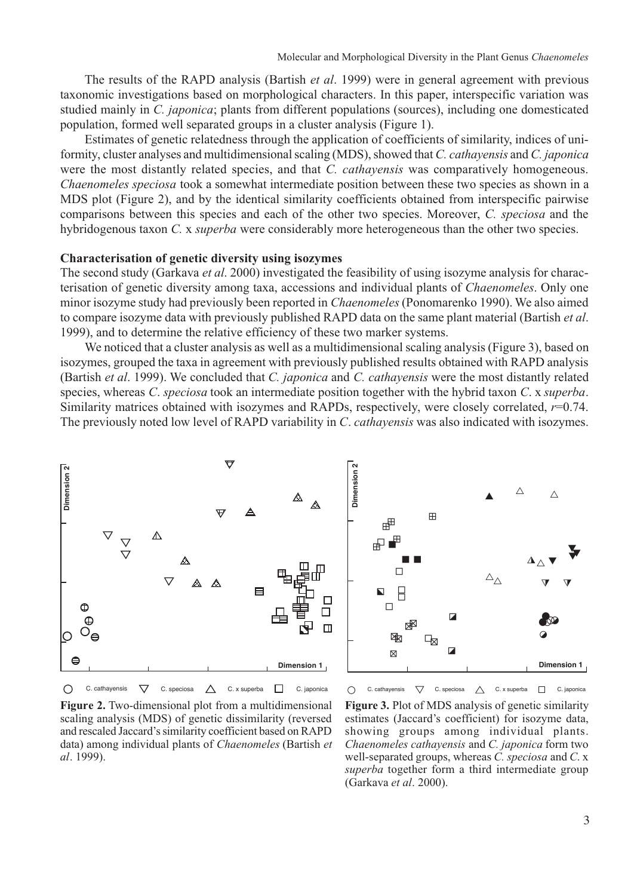The results of the RAPD analysis (Bartish *et al*. 1999) were in general agreement with previous taxonomic investigations based on morphological characters. In this paper, interspecific variation was studied mainly in *C. japonica*; plants from different populations (sources), including one domesticated population, formed well separated groups in a cluster analysis (Figure 1).

Estimates of genetic relatedness through the application of coefficients of similarity, indices of uniformity, cluster analyses and multidimensional scaling (MDS), showed that *C. cathayensis* and *C. japonica* were the most distantly related species, and that *C. cathayensis* was comparatively homogeneous. *Chaenomeles speciosa* took a somewhat intermediate position between these two species as shown in a MDS plot (Figure 2), and by the identical similarity coefficients obtained from interspecific pairwise comparisons between this species and each of the other two species. Moreover, *C. speciosa* and the hybridogenous taxon *C.* x *superba* were considerably more heterogeneous than the other two species.

#### **Characterisation of genetic diversity using isozymes**

The second study (Garkava *et al*. 2000) investigated the feasibility of using isozyme analysis for characterisation of genetic diversity among taxa, accessions and individual plants of *Chaenomeles*. Only one minor isozyme study had previously been reported in *Chaenomeles*(Ponomarenko 1990). We also aimed to compare isozyme data with previously published RAPD data on the same plant material (Bartish *et al*. 1999), and to determine the relative efficiency of these two marker systems.

We noticed that a cluster analysis as well as a multidimensional scaling analysis (Figure 3), based on isozymes, grouped the taxa in agreement with previously published results obtained with RAPD analysis (Bartish *et al*. 1999). We concluded that *C. japonica* and *C. cathayensis* were the most distantly related species, whereas *C*. *speciosa* took an intermediate position together with the hybrid taxon *C*. x *superba*. Similarity matrices obtained with isozymes and RAPDs, respectively, were closely correlated, *r*=0.74. The previously noted low level of RAPD variability in *C*. *cathayensis* was also indicated with isozymes.





**Figure 2.** Two-dimensional plot from a multidimensional scaling analysis (MDS) of genetic dissimilarity (reversed and rescaled Jaccard's similarity coefficient based on RAPD data) among individual plants of *Chaenomeles* (Bartish *et al*. 1999).

**Figure 3.** Plot of MDS analysis of genetic similarity estimates (Jaccard's coefficient) for isozyme data, showing groups among individual plants. *Chaenomeles cathayensis* and *C. japonica* form two well-separated groups, whereas *C. speciosa* and *C*. x *superba* together form a third intermediate group (Garkava *et al*. 2000).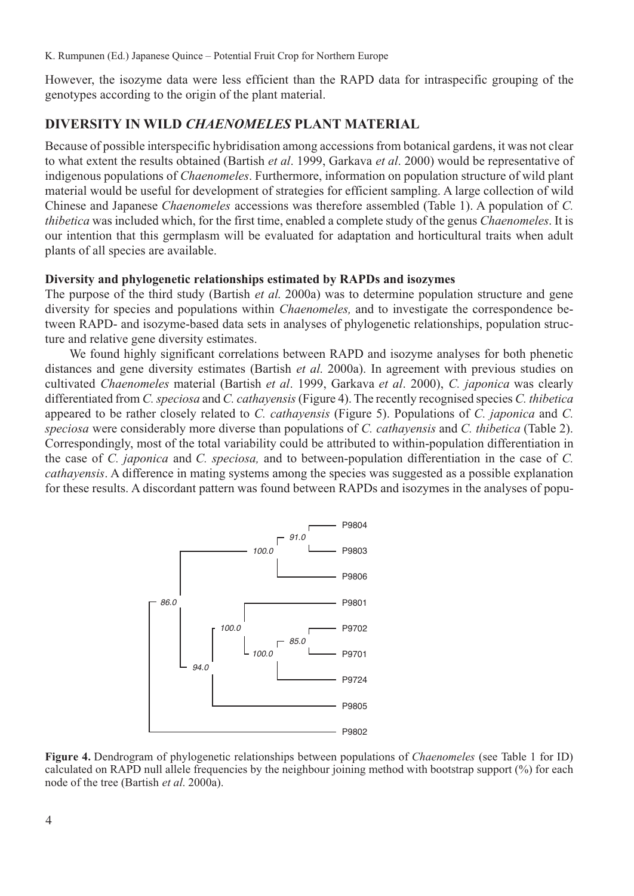However, the isozyme data were less efficient than the RAPD data for intraspecific grouping of the genotypes according to the origin of the plant material.

## **DIVERSITY IN WILD** *CHAENOMELES* **PLANT MATERIAL**

Because of possible interspecific hybridisation among accessions from botanical gardens, it was not clear to what extent the results obtained (Bartish *et al*. 1999, Garkava *et al*. 2000) would be representative of indigenous populations of *Chaenomeles*. Furthermore, information on population structure of wild plant material would be useful for development of strategies for efficient sampling. A large collection of wild Chinese and Japanese *Chaenomeles* accessions was therefore assembled (Table 1). A population of *C. thibetica* was included which, for the first time, enabled a complete study of the genus *Chaenomeles*. It is our intention that this germplasm will be evaluated for adaptation and horticultural traits when adult plants of all species are available.

### **Diversity and phylogenetic relationships estimated by RAPDs and isozymes**

The purpose of the third study (Bartish *et al*. 2000a) was to determine population structure and gene diversity for species and populations within *Chaenomeles,* and to investigate the correspondence between RAPD- and isozyme-based data sets in analyses of phylogenetic relationships, population structure and relative gene diversity estimates.

We found highly significant correlations between RAPD and isozyme analyses for both phenetic distances and gene diversity estimates (Bartish *et al*. 2000a). In agreement with previous studies on cultivated *Chaenomeles* material (Bartish *et al*. 1999, Garkava *et al*. 2000), *C. japonica* was clearly differentiated from *C. speciosa* and *C. cathayensis* (Figure 4). The recently recognised species *C. thibetica* appeared to be rather closely related to *C. cathayensis* (Figure 5). Populations of *C. japonica* and *C. speciosa* were considerably more diverse than populations of *C. cathayensis* and *C. thibetica* (Table 2). Correspondingly, most of the total variability could be attributed to within-population differentiation in the case of *C. japonica* and *C. speciosa,* and to between-population differentiation in the case of *C. cathayensis*. A difference in mating systems among the species was suggested as a possible explanation for these results. A discordant pattern was found between RAPDs and isozymes in the analyses of popu-



**Figure 4.** Dendrogram of phylogenetic relationships between populations of *Chaenomeles* (see Table 1 for ID) calculated on RAPD null allele frequencies by the neighbour joining method with bootstrap support (%) for each node of the tree (Bartish *et al*. 2000a).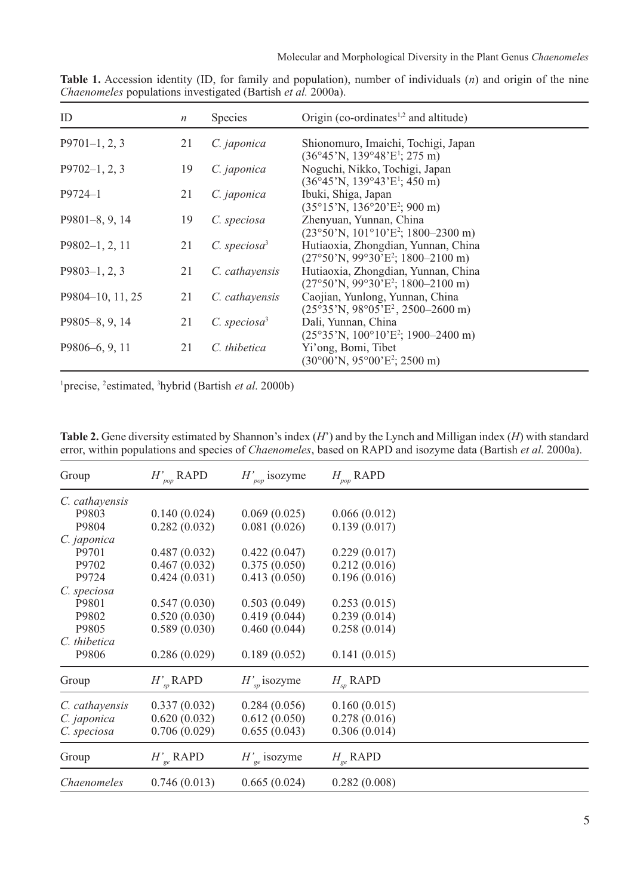| ID               | $\boldsymbol{n}$ | <b>Species</b>             | Origin (co-ordinates $1,2$ and altitude)                                                                    |
|------------------|------------------|----------------------------|-------------------------------------------------------------------------------------------------------------|
| $P9701-1, 2, 3$  | 21               | C. japonica                | Shionomuro, Imaichi, Tochigi, Japan<br>$(36^{\circ}45^{\prime}N, 139^{\circ}48^{\prime}E^1; 275 \text{ m})$ |
| $P9702-1, 2, 3$  | 19               | C. japonica                | Noguchi, Nikko, Tochigi, Japan<br>$(36^{\circ}45^{\prime}N, 139^{\circ}43^{\prime}E^1; 450^{\circ}m)$       |
| $P9724 - 1$      | 21               | C. japonica                | Ibuki, Shiga, Japan<br>$(35^{\circ}15^{\prime}N, 136^{\circ}20^{\prime}E^2; 900 \text{ m})$                 |
| $P9801-8, 9, 14$ | 19               | C. speciosa                | Zhenyuan, Yunnan, China<br>$(23°50'N, 101°10'E2; 1800–2300 m)$                                              |
| $P9802-1, 2, 11$ | 21               | $C.$ speciosa <sup>3</sup> | Hutiaoxia, Zhongdian, Yunnan, China<br>$(27°50'N, 99°30'E2; 1800–2100 m)$                                   |
| $P9803-1, 2, 3$  | 21               | C. cathayensis             | Hutiaoxia, Zhongdian, Yunnan, China<br>$(27°50'$ N, 99°30'E <sup>2</sup> ; 1800–2100 m)                     |
| P9804-10, 11, 25 | 21               | C. cathayensis             | Caojian, Yunlong, Yunnan, China<br>$(25^{\circ}35^{\circ}N, 98^{\circ}05^{\circ}E^2, 2500-2600^{\circ}m)$   |
| P9805-8, 9, 14   | 21               | $C.$ speciosa <sup>3</sup> | Dali, Yunnan, China<br>$(25°35'N, 100°10'E2; 1900–2400 m)$                                                  |
| P9806-6, 9, 11   | 21               | C. thibetica               | Yi'ong, Bomi, Tibet<br>$(30^{\circ}00^{\prime}N, 95^{\circ}00^{\prime}E^{2}; 2500 \text{ m})$               |

**Table 1.** Accession identity (ID, for family and population), number of individuals (*n*) and origin of the nine *Chaenomeles* populations investigated (Bartish *et al.* 2000a).

<sup>1</sup> precise, <sup>2</sup> estimated, <sup>3</sup> hybrid (Bartish *et al.* 2000b)

| Group          | $H'_{pop}$ RAPD | $H'_{pop}$ isozyme | $H_{_{pop}}$ RAPD |
|----------------|-----------------|--------------------|-------------------|
| C. cathayensis |                 |                    |                   |
| P9803          | 0.140(0.024)    | 0.069(0.025)       | 0.066(0.012)      |
| P9804          | 0.282(0.032)    | 0.081(0.026)       | 0.139(0.017)      |
| C. japonica    |                 |                    |                   |
| P9701          | 0.487(0.032)    | 0.422(0.047)       | 0.229(0.017)      |
| P9702          | 0.467(0.032)    | 0.375(0.050)       | 0.212(0.016)      |
| P9724          | 0.424(0.031)    | 0.413(0.050)       | 0.196(0.016)      |
| C. speciosa    |                 |                    |                   |
| P9801          | 0.547(0.030)    | 0.503(0.049)       | 0.253(0.015)      |
| P9802          | 0.520(0.030)    | 0.419(0.044)       | 0.239(0.014)      |
| P9805          | 0.589(0.030)    | 0.460(0.044)       | 0.258(0.014)      |
| C. thibetica   |                 |                    |                   |
| P9806          | 0.286(0.029)    | 0.189(0.052)       | 0.141(0.015)      |
| Group          | $H'_{sp}$ RAPD  | $H'_{sn}$ isozyme  | $H_{\rm sp}$ RAPD |
| C. cathayensis | 0.337(0.032)    | 0.284(0.056)       | 0.160(0.015)      |
| C. japonica    | 0.620(0.032)    | 0.612(0.050)       | 0.278(0.016)      |
| C. speciosa    | 0.706(0.029)    | 0.655(0.043)       | 0.306(0.014)      |
| Group          | $H'_{ge}$ RAPD  | $H'_{ge}$ isozyme  | $H_{ge}$ RAPD     |
| Chaenomeles    | 0.746(0.013)    | 0.665(0.024)       | 0.282(0.008)      |

**Table 2.** Gene diversity estimated by Shannon's index (*H*') and by the Lynch and Milligan index (*H*) with standard error, within populations and species of *Chaenomeles*, based on RAPD and isozyme data (Bartish *et al*. 2000a).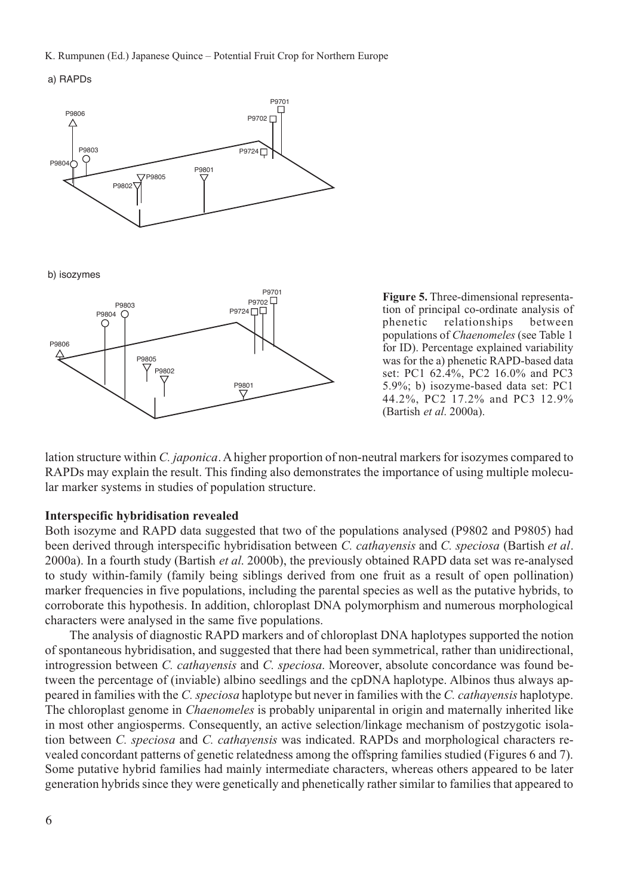K. Rumpunen (Ed.) Japanese Quince – Potential Fruit Crop for Northern Europe

a) RAPDs



**Figure 5.** Three-dimensional representation of principal co-ordinate analysis of phenetic relationships between populations of *Chaenomeles* (see Table 1 for ID). Percentage explained variability was for the a) phenetic RAPD-based data set: PC1 62.4%, PC2 16.0% and PC3 5.9%; b) isozyme-based data set: PC1 44.2%, PC2 17.2% and PC3 12.9% (Bartish *et al*. 2000a).

lation structure within *C. japonica*. A higher proportion of non-neutral markers for isozymes compared to RAPDs may explain the result. This finding also demonstrates the importance of using multiple molecular marker systems in studies of population structure.

#### **Interspecific hybridisation revealed**

Both isozyme and RAPD data suggested that two of the populations analysed (P9802 and P9805) had been derived through interspecific hybridisation between *C. cathayensis* and *C. speciosa* (Bartish *et al*. 2000a). In a fourth study (Bartish *et al*. 2000b), the previously obtained RAPD data set was re-analysed to study within-family (family being siblings derived from one fruit as a result of open pollination) marker frequencies in five populations, including the parental species as well as the putative hybrids, to corroborate this hypothesis. In addition, chloroplast DNA polymorphism and numerous morphological characters were analysed in the same five populations.

The analysis of diagnostic RAPD markers and of chloroplast DNA haplotypes supported the notion of spontaneous hybridisation, and suggested that there had been symmetrical, rather than unidirectional, introgression between *C. cathayensis* and *C. speciosa*. Moreover, absolute concordance was found between the percentage of (inviable) albino seedlings and the cpDNA haplotype. Albinos thus always appeared in families with the *C. speciosa* haplotype but never in families with the *C. cathayensis* haplotype. The chloroplast genome in *Chaenomeles* is probably uniparental in origin and maternally inherited like in most other angiosperms. Consequently, an active selection/linkage mechanism of postzygotic isolation between *C. speciosa* and *C. cathayensis* was indicated. RAPDs and morphological characters revealed concordant patterns of genetic relatedness among the offspring families studied (Figures 6 and 7). Some putative hybrid families had mainly intermediate characters, whereas others appeared to be later generation hybrids since they were genetically and phenetically rather similar to families that appeared to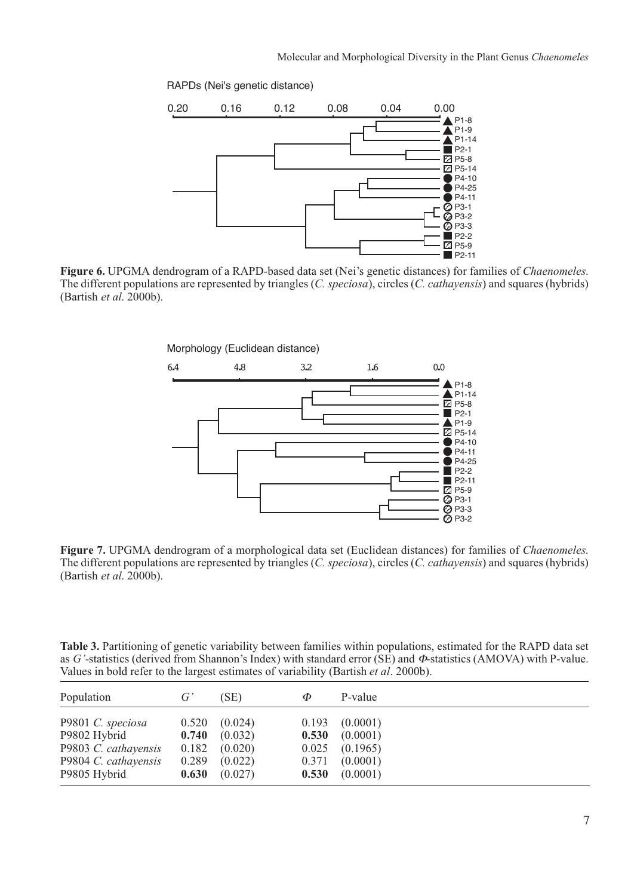RAPDs (Nei's genetic distance)



**Figure 6.** UPGMA dendrogram of a RAPD-based data set (Nei's genetic distances) for families of *Chaenomeles*. The different populations are represented by triangles (*C. speciosa*), circles (*C. cathayensis*) and squares (hybrids) (Bartish *et al*. 2000b).



**Figure 7.** UPGMA dendrogram of a morphological data set (Euclidean distances) for families of *Chaenomeles*. The different populations are represented by triangles (*C. speciosa*), circles (*C. cathayensis*) and squares (hybrids) (Bartish *et al*. 2000b).

**Table 3.** Partitioning of genetic variability between families within populations, estimated for the RAPD data set as *G'-*statistics (derived from Shannon's Index) with standard error (SE) and Φ-statistics (AMOVA) with P-value. Values in bold refer to the largest estimates of variability (Bartish *et al*. 2000b).

| Population           | $G^r$ | (SE)    | Ф     | P-value  |
|----------------------|-------|---------|-------|----------|
| P9801 C. speciosa    | 0.520 | (0.024) | 0.193 | (0.0001) |
| P9802 Hybrid         | 0.740 | (0.032) | 0.530 | (0.0001) |
| P9803 C. cathayensis | 0.182 | (0.020) | 0.025 | (0.1965) |
| P9804 C. cathayensis | 0.289 | (0.022) | 0.371 | (0.0001) |
| P9805 Hybrid         | 0.630 | (0.027) | 0.530 | (0.0001) |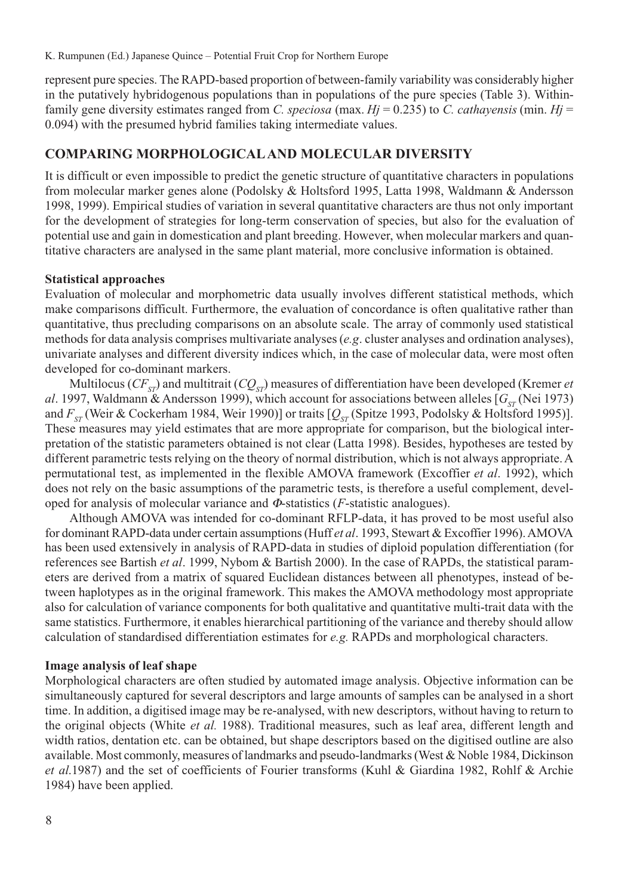represent pure species. The RAPD-based proportion of between-family variability was considerably higher in the putatively hybridogenous populations than in populations of the pure species (Table 3). Withinfamily gene diversity estimates ranged from *C. speciosa* (max.  $Hj = 0.235$ ) to *C. cathayensis* (min.  $Hj =$ 0.094) with the presumed hybrid families taking intermediate values.

#### **COMPARING MORPHOLOGICAL AND MOLECULAR DIVERSITY**

It is difficult or even impossible to predict the genetic structure of quantitative characters in populations from molecular marker genes alone (Podolsky & Holtsford 1995, Latta 1998, Waldmann & Andersson 1998, 1999). Empirical studies of variation in several quantitative characters are thus not only important for the development of strategies for long-term conservation of species, but also for the evaluation of potential use and gain in domestication and plant breeding. However, when molecular markers and quantitative characters are analysed in the same plant material, more conclusive information is obtained.

#### **Statistical approaches**

Evaluation of molecular and morphometric data usually involves different statistical methods, which make comparisons difficult. Furthermore, the evaluation of concordance is often qualitative rather than quantitative, thus precluding comparisons on an absolute scale. The array of commonly used statistical methods for data analysis comprises multivariate analyses (*e.g*. cluster analyses and ordination analyses), univariate analyses and different diversity indices which, in the case of molecular data, were most often developed for co-dominant markers.

Multilocus ( $CF_{ST}$ ) and multitrait ( $CQ_{ST}$ ) measures of differentiation have been developed (Kremer *et*) *al.* 1997, Waldmann & Andersson 1999), which account for associations between alleles  $[G_{ST}$  (Nei 1973) and  $F_{ST}$  (Weir & Cockerham 1984, Weir 1990)] or traits  $[Q_{ST}$  (Spitze 1993, Podolsky & Holtsford 1995)]. These measures may yield estimates that are more appropriate for comparison, but the biological interpretation of the statistic parameters obtained is not clear (Latta 1998). Besides, hypotheses are tested by different parametric tests relying on the theory of normal distribution, which is not always appropriate. A permutational test, as implemented in the flexible AMOVA framework (Excoffier *et al*. 1992), which does not rely on the basic assumptions of the parametric tests, is therefore a useful complement, developed for analysis of molecular variance and Φ-statistics (*F*-statistic analogues).

Although AMOVA was intended for co-dominant RFLP-data, it has proved to be most useful also for dominant RAPD-data under certain assumptions (Huff *et al*. 1993, Stewart & Excoffier 1996). AMOVA has been used extensively in analysis of RAPD-data in studies of diploid population differentiation (for references see Bartish *et al*. 1999, Nybom & Bartish 2000). In the case of RAPDs, the statistical parameters are derived from a matrix of squared Euclidean distances between all phenotypes, instead of between haplotypes as in the original framework. This makes the AMOVA methodology most appropriate also for calculation of variance components for both qualitative and quantitative multi-trait data with the same statistics. Furthermore, it enables hierarchical partitioning of the variance and thereby should allow calculation of standardised differentiation estimates for *e.g.* RAPDs and morphological characters.

#### **Image analysis of leaf shape**

Morphological characters are often studied by automated image analysis. Objective information can be simultaneously captured for several descriptors and large amounts of samples can be analysed in a short time. In addition, a digitised image may be re-analysed, with new descriptors, without having to return to the original objects (White *et al.* 1988). Traditional measures, such as leaf area, different length and width ratios, dentation etc. can be obtained, but shape descriptors based on the digitised outline are also available. Most commonly, measures of landmarks and pseudo-landmarks (West & Noble 1984, Dickinson *et al*.1987) and the set of coefficients of Fourier transforms (Kuhl & Giardina 1982, Rohlf & Archie 1984) have been applied.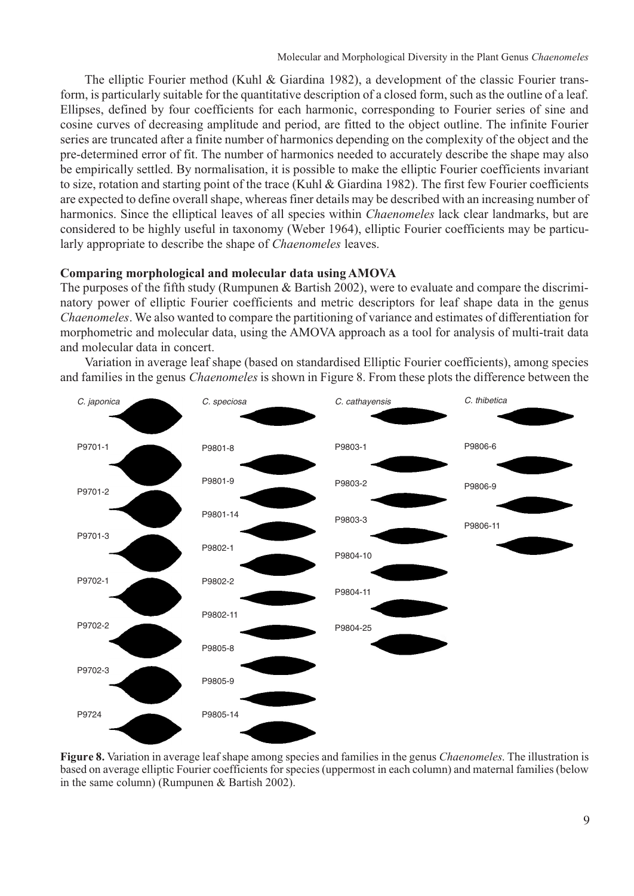The elliptic Fourier method (Kuhl & Giardina 1982), a development of the classic Fourier transform, is particularly suitable for the quantitative description of a closed form, such as the outline of a leaf. Ellipses, defined by four coefficients for each harmonic, corresponding to Fourier series of sine and cosine curves of decreasing amplitude and period, are fitted to the object outline. The infinite Fourier series are truncated after a finite number of harmonics depending on the complexity of the object and the pre-determined error of fit. The number of harmonics needed to accurately describe the shape may also be empirically settled. By normalisation, it is possible to make the elliptic Fourier coefficients invariant to size, rotation and starting point of the trace (Kuhl & Giardina 1982). The first few Fourier coefficients are expected to define overall shape, whereas finer details may be described with an increasing number of harmonics. Since the elliptical leaves of all species within *Chaenomeles* lack clear landmarks, but are considered to be highly useful in taxonomy (Weber 1964), elliptic Fourier coefficients may be particularly appropriate to describe the shape of *Chaenomeles* leaves.

#### **Comparing morphological and molecular data using AMOVA**

The purposes of the fifth study (Rumpunen & Bartish 2002), were to evaluate and compare the discriminatory power of elliptic Fourier coefficients and metric descriptors for leaf shape data in the genus *Chaenomeles*. We also wanted to compare the partitioning of variance and estimates of differentiation for morphometric and molecular data, using the AMOVA approach as a tool for analysis of multi-trait data and molecular data in concert.

Variation in average leaf shape (based on standardised Elliptic Fourier coefficients), among species and families in the genus *Chaenomeles* is shown in Figure 8. From these plots the difference between the



**Figure 8.** Variation in average leaf shape among species and families in the genus *Chaenomeles*. The illustration is based on average elliptic Fourier coefficients for species (uppermost in each column) and maternal families (below in the same column) (Rumpunen & Bartish 2002).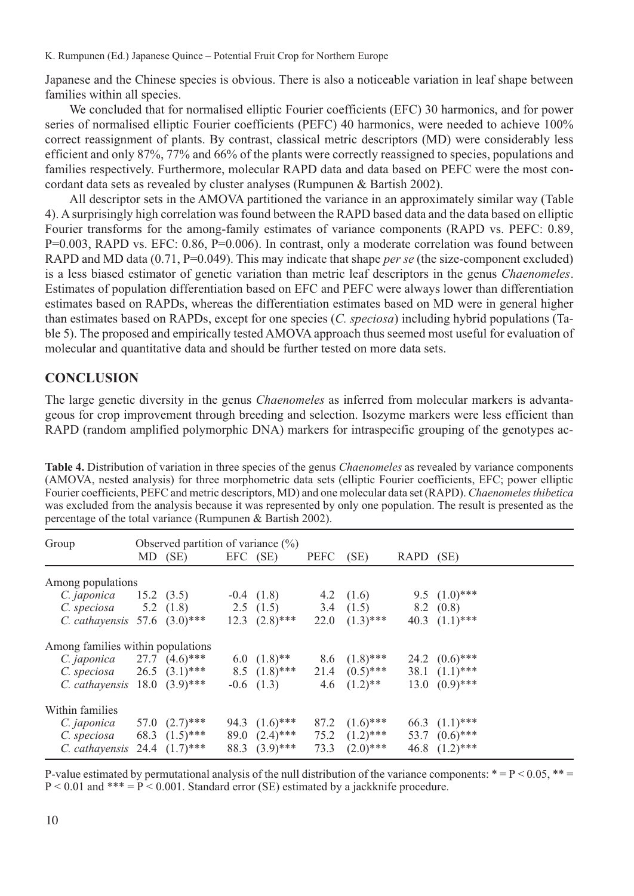Japanese and the Chinese species is obvious. There is also a noticeable variation in leaf shape between families within all species.

We concluded that for normalised elliptic Fourier coefficients (EFC) 30 harmonics, and for power series of normalised elliptic Fourier coefficients (PEFC) 40 harmonics, were needed to achieve 100% correct reassignment of plants. By contrast, classical metric descriptors (MD) were considerably less efficient and only 87%, 77% and 66% of the plants were correctly reassigned to species, populations and families respectively. Furthermore, molecular RAPD data and data based on PEFC were the most concordant data sets as revealed by cluster analyses (Rumpunen & Bartish 2002).

All descriptor sets in the AMOVA partitioned the variance in an approximately similar way (Table 4). A surprisingly high correlation was found between the RAPD based data and the data based on elliptic Fourier transforms for the among-family estimates of variance components (RAPD vs. PEFC: 0.89, P=0.003, RAPD vs. EFC: 0.86, P=0.006). In contrast, only a moderate correlation was found between RAPD and MD data (0.71, P=0.049). This may indicate that shape *per se* (the size-component excluded) is a less biased estimator of genetic variation than metric leaf descriptors in the genus *Chaenomeles*. Estimates of population differentiation based on EFC and PEFC were always lower than differentiation estimates based on RAPDs, whereas the differentiation estimates based on MD were in general higher than estimates based on RAPDs, except for one species (*C. speciosa*) including hybrid populations (Table 5). The proposed and empirically tested AMOVA approach thus seemed most useful for evaluation of molecular and quantitative data and should be further tested on more data sets.

## **CONCLUSION**

The large genetic diversity in the genus *Chaenomeles* as inferred from molecular markers is advantageous for crop improvement through breeding and selection. Isozyme markers were less efficient than RAPD (random amplified polymorphic DNA) markers for intraspecific grouping of the genotypes ac-

**Table 4.** Distribution of variation in three species of the genus *Chaenomeles* as revealed by variance components (AMOVA, nested analysis) for three morphometric data sets (elliptic Fourier coefficients, EFC; power elliptic Fourier coefficients, PEFC and metric descriptors, MD) and one molecular data set (RAPD). *Chaenomeles thibetica* was excluded from the analysis because it was represented by only one population. The result is presented as the percentage of the total variance (Rumpunen & Bartish 2002).

| Observed partition of variance $(\%)$<br>Group |  |             |          |                           |             |                                   |           |                  |
|------------------------------------------------|--|-------------|----------|---------------------------|-------------|-----------------------------------|-----------|------------------|
|                                                |  | MD (SE)     | EFC (SE) |                           | <b>PEFC</b> | (SE)                              | RAPD (SE) |                  |
| Among populations                              |  |             |          |                           |             |                                   |           |                  |
| <i>C. japonica</i> 15.2 (3.5)                  |  |             |          | $-0.4$ $(1.8)$            | 4.2 $(1.6)$ |                                   |           | 9.5 $(1.0)$ ***  |
| C. speciosa                                    |  | 5.2 $(1.8)$ |          | 2.5 $(1.5)$ 3.4 $(1.5)$   |             |                                   |           | 8.2 (0.8)        |
| C. cathayensis $57.6$ $(3.0)$ ***              |  |             |          | $12.3 \quad (2.8)$ ***    | 22.0        | $(1.3)$ ***                       |           | 40.3 $(1.1)$ *** |
| Among families within populations              |  |             |          |                           |             |                                   |           |                  |
| <i>C. japonica</i> 27.7 $(4.6)$ ***            |  |             |          | 6.0 $(1.8)$ <sup>**</sup> |             | 8.6 $(1.8)$ ***                   |           | 24.2 $(0.6)$ *** |
| C. speciosa 26.5 $(3.1)$ *** 8.5 $(1.8)$ ***   |  |             |          |                           |             | 21.4 $(0.5)$ ***                  |           | 38.1 $(1.1)$ *** |
| <i>C. cathayensis</i> $18.0 \quad (3.9)$ ***   |  |             |          | $-0.6$ $(1.3)$            |             | 4.6 $(1.2)$ <sup>**</sup>         |           | 13.0 $(0.9)$ *** |
| Within families                                |  |             |          |                           |             |                                   |           |                  |
| <i>C. japonica</i> 57.0 $(2.7)$ ***            |  |             |          | 94.3 $(1.6)$ ***          |             | 87.2 $(1.6)$ ***                  |           | 66.3 $(1.1)$ *** |
| C. speciosa 68.3 $(1.5)$ ***                   |  |             |          |                           |             | 89.0 $(2.4)$ *** 75.2 $(1.2)$ *** |           | 53.7 $(0.6)$ *** |
| C. cathayensis 24.4 $(1.7)$ ***                |  |             |          | 88.3 $(3.9)$ ***          | 73.3        | $(2.0)$ ***                       |           | 46.8 $(1.2)$ *** |

P-value estimated by permutational analysis of the null distribution of the variance components:  $* = P < 0.05$ ,  $* =$  $P < 0.01$  and \*\*\* =  $P < 0.001$ . Standard error (SE) estimated by a jackknife procedure.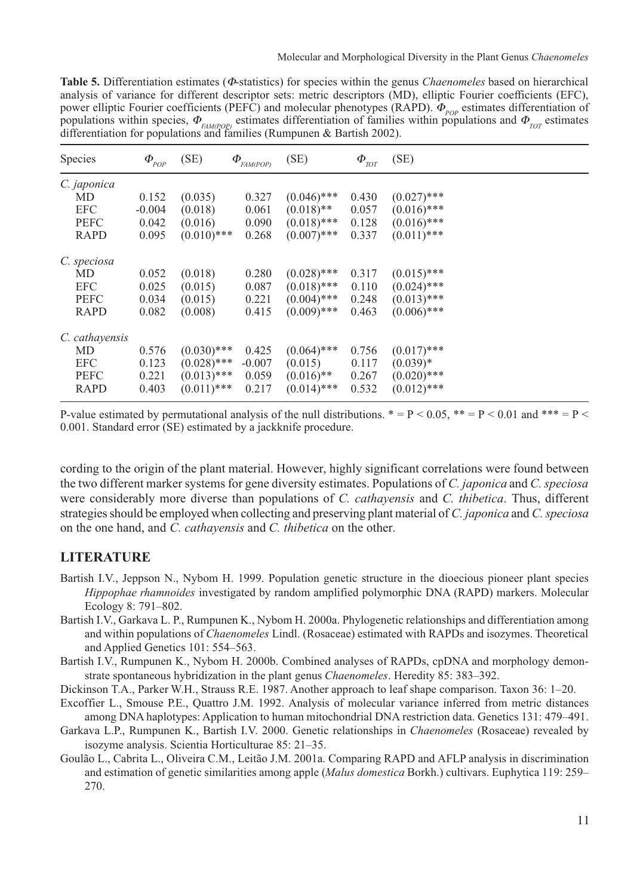**Table 5.** Differentiation estimates (Φ-statistics) for species within the genus *Chaenomeles* based on hierarchical analysis of variance for different descriptor sets: metric descriptors (MD), elliptic Fourier coefficients (EFC), power elliptic Fourier coefficients (PEFC) and molecular phenotypes (RAPD).  $\Phi_{p\rho\rho}$  estimates differentiation of populations within species,  $\Phi_{FAM(POP)}$  estimates differentiation of families within populations and  $\Phi_{TOT}$  estimates differentiation for populations and families (Rumpunen & Bartish 2002).

| <b>Species</b> | $\varPhi_{_{POP}}$ | (SE)          | $\Phi_{FAM(POP)}$ | (SE)          | $\boldsymbol{\varPhi}_{_{\!\mathit{TOT}}}$ | (SE)          |
|----------------|--------------------|---------------|-------------------|---------------|--------------------------------------------|---------------|
| C. japonica    |                    |               |                   |               |                                            |               |
| MD             | 0.152              | (0.035)       | 0.327             | $(0.046)$ *** | 0.430                                      | $(0.027)$ *** |
| <b>EFC</b>     | $-0.004$           | (0.018)       | 0.061             | $(0.018)$ **  | 0.057                                      | $(0.016)$ *** |
| <b>PEFC</b>    | 0.042              | (0.016)       | 0.090             | $(0.018)$ *** | 0.128                                      | $(0.016)$ *** |
| <b>RAPD</b>    | 0.095              | $(0.010)$ *** | 0.268             | $(0.007)$ *** | 0.337                                      | $(0.011)$ *** |
| C. speciosa    |                    |               |                   |               |                                            |               |
| MD             | 0.052              | (0.018)       | 0.280             | $(0.028)$ *** | 0.317                                      | $(0.015)$ *** |
| <b>EFC</b>     | 0.025              | (0.015)       | 0.087             | $(0.018)$ *** | 0.110                                      | $(0.024)$ *** |
| <b>PEFC</b>    | 0.034              | (0.015)       | 0.221             | $(0.004)$ *** | 0.248                                      | $(0.013)$ *** |
| <b>RAPD</b>    | 0.082              | (0.008)       | 0.415             | $(0.009)$ *** | 0.463                                      | $(0.006)$ *** |
| C. cathayensis |                    |               |                   |               |                                            |               |
| MD             | 0.576              | $(0.030)$ *** | 0.425             | $(0.064)$ *** | 0.756                                      | $(0.017)$ *** |
| <b>EFC</b>     | 0.123              | $(0.028)$ *** | $-0.007$          | (0.015)       | 0.117                                      | $(0.039)*$    |
| <b>PEFC</b>    | 0.221              | $(0.013)$ *** | 0.059             | $(0.016)$ **  | 0.267                                      | $(0.020)$ *** |
| <b>RAPD</b>    | 0.403              | $(0.011)$ *** | 0.217             | $(0.014)$ *** | 0.532                                      | $(0.012)$ *** |

P-value estimated by permutational analysis of the null distributions.  $* = P < 0.05$ ,  $* = P < 0.01$  and  $*** = P <$ 0.001. Standard error (SE) estimated by a jackknife procedure.

cording to the origin of the plant material. However, highly significant correlations were found between the two different marker systems for gene diversity estimates. Populations of *C. japonica* and *C. speciosa* were considerably more diverse than populations of *C. cathayensis* and *C. thibetica*. Thus, different strategies should be employed when collecting and preserving plant material of *C. japonica* and *C. speciosa* on the one hand, and *C. cathayensis* and *C. thibetica* on the other.

## **LITERATURE**

- Bartish I.V., Jeppson N., Nybom H. 1999. Population genetic structure in the dioecious pioneer plant species *Hippophae rhamnoides* investigated by random amplified polymorphic DNA (RAPD) markers. Molecular Ecology 8: 791–802.
- Bartish I.V., Garkava L. P., Rumpunen K., Nybom H. 2000a. Phylogenetic relationships and differentiation among and within populations of *Chaenomeles* Lindl. (Rosaceae) estimated with RAPDs and isozymes. Theoretical and Applied Genetics 101: 554–563.
- Bartish I.V., Rumpunen K., Nybom H. 2000b. Combined analyses of RAPDs, cpDNA and morphology demonstrate spontaneous hybridization in the plant genus *Chaenomeles*. Heredity 85: 383–392.
- Dickinson T.A., Parker W.H., Strauss R.E. 1987. Another approach to leaf shape comparison. Taxon 36: 1–20.
- Excoffier L., Smouse P.E., Quattro J.M. 1992. Analysis of molecular variance inferred from metric distances among DNA haplotypes: Application to human mitochondrial DNA restriction data. Genetics 131: 479–491.
- Garkava L.P., Rumpunen K., Bartish I.V. 2000. Genetic relationships in *Chaenomeles* (Rosaceae) revealed by isozyme analysis. Scientia Horticulturae 85: 21–35.
- Goulão L., Cabrita L., Oliveira C.M., Leitão J.M. 2001a. Comparing RAPD and AFLP analysis in discrimination and estimation of genetic similarities among apple (*Malus domestica* Borkh.) cultivars. Euphytica 119: 259– 270.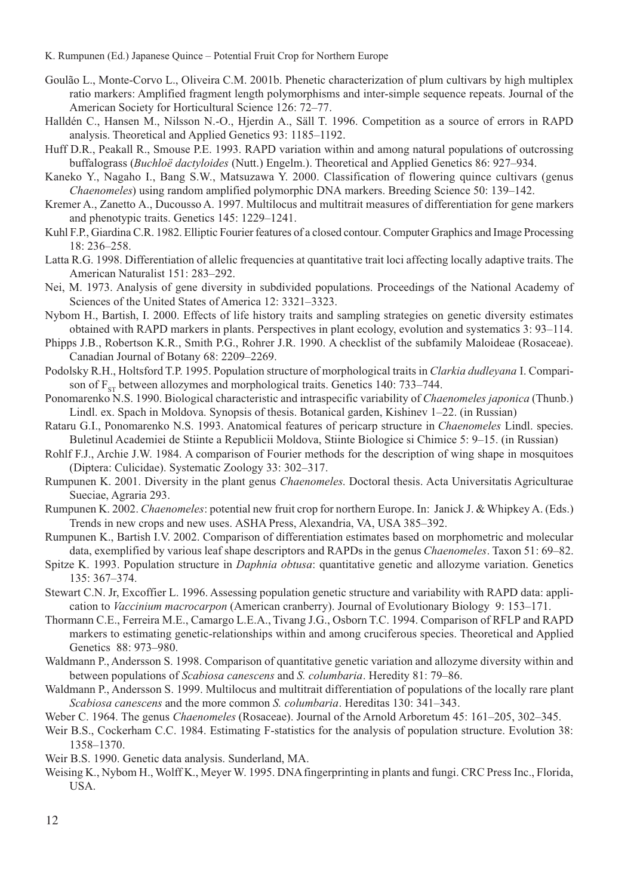- K. Rumpunen (Ed.) Japanese Quince Potential Fruit Crop for Northern Europe
- Goulão L., Monte-Corvo L., Oliveira C.M. 2001b. Phenetic characterization of plum cultivars by high multiplex ratio markers: Amplified fragment length polymorphisms and inter-simple sequence repeats. Journal of the American Society for Horticultural Science 126: 72–77.
- Halldén C., Hansen M., Nilsson N.-O., Hjerdin A., Säll T. 1996. Competition as a source of errors in RAPD analysis. Theoretical and Applied Genetics 93: 1185–1192.
- Huff D.R., Peakall R., Smouse P.E. 1993. RAPD variation within and among natural populations of outcrossing buffalograss (*Buchloë dactyloides* (Nutt.) Engelm.). Theoretical and Applied Genetics 86: 927–934.
- Kaneko Y., Nagaho I., Bang S.W., Matsuzawa Y. 2000. Classification of flowering quince cultivars (genus *Chaenomeles*) using random amplified polymorphic DNA markers. Breeding Science 50: 139–142.
- Kremer A., Zanetto A., Ducousso A. 1997. Multilocus and multitrait measures of differentiation for gene markers and phenotypic traits. Genetics 145: 1229–1241.
- Kuhl F.P., Giardina C.R. 1982. Elliptic Fourier features of a closed contour. Computer Graphics and Image Processing 18: 236–258.
- Latta R.G. 1998. Differentiation of allelic frequencies at quantitative trait loci affecting locally adaptive traits. The American Naturalist 151: 283–292.
- Nei, M. 1973. Analysis of gene diversity in subdivided populations. Proceedings of the National Academy of Sciences of the United States of America 12: 3321–3323.
- Nybom H., Bartish, I. 2000. Effects of life history traits and sampling strategies on genetic diversity estimates obtained with RAPD markers in plants. Perspectives in plant ecology, evolution and systematics 3: 93–114.
- Phipps J.B., Robertson K.R., Smith P.G., Rohrer J.R. 1990. A checklist of the subfamily Maloideae (Rosaceae). Canadian Journal of Botany 68: 2209–2269.
- Podolsky R.H., Holtsford T.P. 1995. Population structure of morphological traits in *Clarkia dudleyana* I. Comparison of  $F_{\rm cr}$  between allozymes and morphological traits. Genetics 140: 733–744.
- Ponomarenko N.S. 1990. Biological characteristic and intraspecific variability of *Chaenomeles japonica* (Thunb.) Lindl. ex. Spach in Moldova. Synopsis of thesis. Botanical garden, Kishinev 1–22. (in Russian)
- Rataru G.I., Ponomarenko N.S. 1993. Anatomical features of pericarp structure in *Chaenomeles* Lindl. species. Buletinul Academiei de Stiinte a Republicii Moldova, Stiinte Biologice si Chimice 5: 9–15. (in Russian)
- Rohlf F.J., Archie J.W. 1984. A comparison of Fourier methods for the description of wing shape in mosquitoes (Diptera: Culicidae). Systematic Zoology 33: 302–317.
- Rumpunen K. 2001. Diversity in the plant genus *Chaenomeles*. Doctoral thesis. Acta Universitatis Agriculturae Sueciae, Agraria 293.
- Rumpunen K. 2002. *Chaenomeles*: potential new fruit crop for northern Europe. In: Janick J. & Whipkey A. (Eds.) Trends in new crops and new uses. ASHA Press, Alexandria, VA, USA 385–392.
- Rumpunen K., Bartish I.V. 2002. Comparison of differentiation estimates based on morphometric and molecular data, exemplified by various leaf shape descriptors and RAPDs in the genus *Chaenomeles*. Taxon 51: 69–82.
- Spitze K. 1993. Population structure in *Daphnia obtusa*: quantitative genetic and allozyme variation. Genetics 135: 367–374.
- Stewart C.N. Jr, Excoffier L. 1996. Assessing population genetic structure and variability with RAPD data: application to *Vaccinium macrocarpon* (American cranberry). Journal of Evolutionary Biology 9: 153–171.
- Thormann C.E., Ferreira M.E., Camargo L.E.A., Tivang J.G., Osborn T.C. 1994. Comparison of RFLP and RAPD markers to estimating genetic-relationships within and among cruciferous species. Theoretical and Applied Genetics 88: 973–980.
- Waldmann P., Andersson S. 1998. Comparison of quantitative genetic variation and allozyme diversity within and between populations of *Scabiosa canescens* and *S. columbaria*. Heredity 81: 79–86.
- Waldmann P., Andersson S. 1999. Multilocus and multitrait differentiation of populations of the locally rare plant *Scabiosa canescens* and the more common *S. columbaria*. Hereditas 130: 341–343.
- Weber C. 1964. The genus *Chaenomeles* (Rosaceae). Journal of the Arnold Arboretum 45: 161–205, 302–345.
- Weir B.S., Cockerham C.C. 1984. Estimating F-statistics for the analysis of population structure. Evolution 38: 1358–1370.
- Weir B.S. 1990. Genetic data analysis. Sunderland, MA.
- Weising K., Nybom H., Wolff K., Meyer W. 1995. DNA fingerprinting in plants and fungi. CRC Press Inc., Florida, USA.